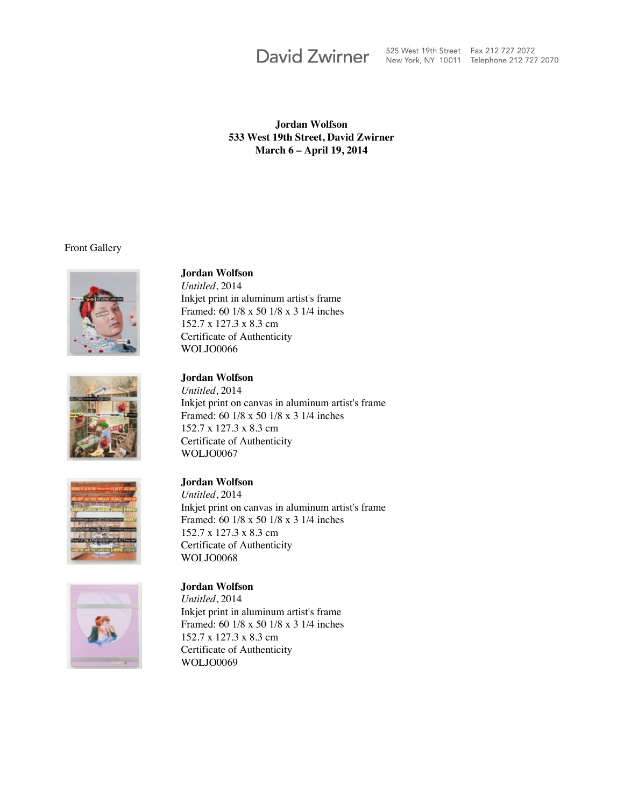David Zwirner 525 West 19th Street Fax 212 727 2072

### **Jordan Wolfson 533 West 19th Street, David Zwirner March 6 – April 19, 2014**

Front Gallery



#### **Jordan Wolfson**

*Untitled*, 2014 Inkjet print in aluminum artist's frame Framed: 60 1/8 x 50 1/8 x 3 1/4 inches 152.7 x 127.3 x 8.3 cm Certificate of Authenticity WOLJO0066



### **Jordan Wolfson**

*Untitled*, 2014 Inkjet print on canvas in aluminum artist's frame Framed: 60 1/8 x 50 1/8 x 3 1/4 inches 152.7 x 127.3 x 8.3 cm Certificate of Authenticity WOLJO0067



# **Jordan Wolfson**

*Untitled*, 2014 Inkjet print on canvas in aluminum artist's frame Framed: 60 1/8 x 50 1/8 x 3 1/4 inches 152.7 x 127.3 x 8.3 cm Certificate of Authenticity WOLJO0068



# **Jordan Wolfson**

*Untitled*, 2014 Inkjet print in aluminum artist's frame Framed: 60 1/8 x 50 1/8 x 3 1/4 inches 152.7 x 127.3 x 8.3 cm Certificate of Authenticity WOLJO0069